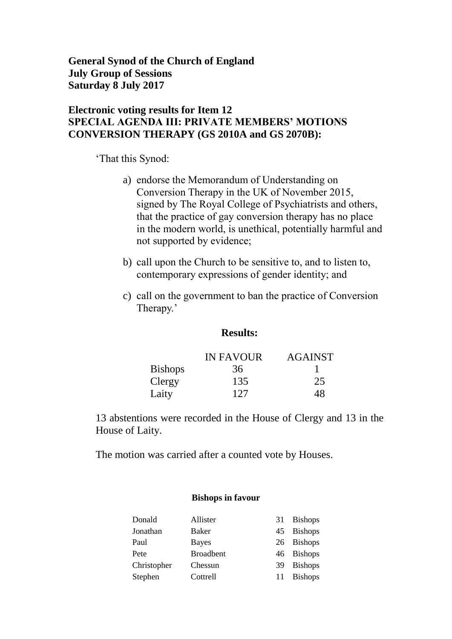**General Synod of the Church of England July Group of Sessions Saturday 8 July 2017**

#### **Electronic voting results for Item 12 SPECIAL AGENDA III: PRIVATE MEMBERS' MOTIONS CONVERSION THERAPY (GS 2010A and GS 2070B):**

'That this Synod:

- a) endorse the Memorandum of Understanding on Conversion Therapy in the UK of November 2015, signed by The Royal College of Psychiatrists and others, that the practice of gay conversion therapy has no place in the modern world, is unethical, potentially harmful and not supported by evidence;
- b) call upon the Church to be sensitive to, and to listen to, contemporary expressions of gender identity; and
- c) call on the government to ban the practice of Conversion Therapy.'

#### **Results:**

|                | <b>IN FAVOUR</b> | <b>AGAINST</b> |
|----------------|------------------|----------------|
| <b>Bishops</b> | 36               |                |
| Clergy         | 135              | 25             |
| Laity          | 127              | 48             |

13 abstentions were recorded in the House of Clergy and 13 in the House of Laity.

The motion was carried after a counted vote by Houses.

#### **Bishops in favour**

| Donald      | Allister         | 31 | <b>Bishops</b> |
|-------------|------------------|----|----------------|
| Jonathan    | Baker            | 45 | <b>Bishops</b> |
| Paul        | <b>Bayes</b>     |    | 26 Bishops     |
| Pete        | <b>Broadbent</b> |    | 46 Bishops     |
| Christopher | Chessun          | 39 | <b>Bishops</b> |
| Stephen     | Cottrell         | 11 | <b>Bishops</b> |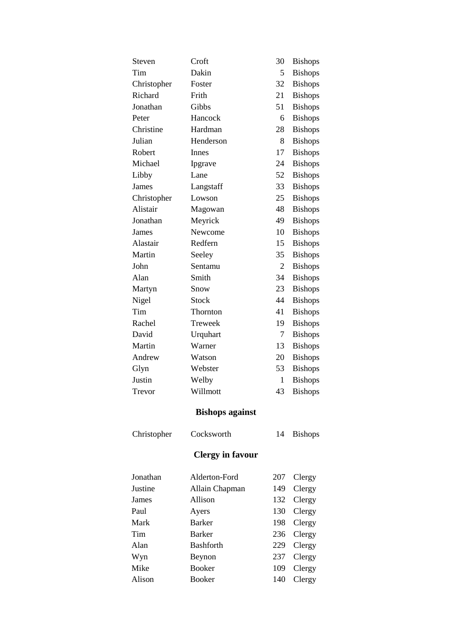| Steven      | Croft                   | 30  | <b>Bishops</b> |
|-------------|-------------------------|-----|----------------|
| Tim         | Dakin                   | 5   | <b>Bishops</b> |
| Christopher | Foster                  | 32  | <b>Bishops</b> |
| Richard     | Frith                   | 21  | <b>Bishops</b> |
| Jonathan    | Gibbs                   | 51  | <b>Bishops</b> |
| Peter       | Hancock                 | 6   | <b>Bishops</b> |
| Christine   | Hardman                 | 28  | <b>Bishops</b> |
| Julian      | Henderson               | 8   | <b>Bishops</b> |
| Robert      | Innes                   | 17  | <b>Bishops</b> |
| Michael     | Ipgrave                 | 24  | <b>Bishops</b> |
| Libby       | Lane                    | 52  | <b>Bishops</b> |
| James       | Langstaff               | 33  | <b>Bishops</b> |
| Christopher | Lowson                  | 25  | <b>Bishops</b> |
| Alistair    | Magowan                 | 48  | <b>Bishops</b> |
| Jonathan    | Meyrick                 | 49  | <b>Bishops</b> |
| James       | Newcome                 | 10  | <b>Bishops</b> |
| Alastair    | Redfern                 | 15  | <b>Bishops</b> |
| Martin      | Seeley                  | 35  | <b>Bishops</b> |
| John        | Sentamu                 | 2   | <b>Bishops</b> |
| Alan        | Smith                   | 34  | <b>Bishops</b> |
| Martyn      | Snow                    | 23  | <b>Bishops</b> |
| Nigel       | <b>Stock</b>            | 44  | <b>Bishops</b> |
| Tim         | Thornton                | 41  | <b>Bishops</b> |
| Rachel      | Treweek                 | 19  | <b>Bishops</b> |
| David       | Urquhart                | 7   | <b>Bishops</b> |
| Martin      | Warner                  | 13  | <b>Bishops</b> |
| Andrew      | Watson                  | 20  | <b>Bishops</b> |
| Glyn        | Webster                 | 53  | <b>Bishops</b> |
| Justin      | Welby                   | 1   | <b>Bishops</b> |
| Trevor      | Willmott                | 43  | <b>Bishops</b> |
|             | <b>Bishops against</b>  |     |                |
| Christopher | Cocksworth              | 14  | <b>Bishops</b> |
|             | <b>Clergy in favour</b> |     |                |
|             |                         |     |                |
| Jonathan    | Alderton-Ford           | 207 | Clergy         |
| Justine     | Allain Chapman          | 149 | Clergy         |
| James       | Allison                 | 132 | Clergy         |
| Paul        | Ayers                   | 130 | Clergy         |
| Mark        | <b>Barker</b>           | 198 | Clergy         |
| Tim         | <b>Barker</b>           | 236 | Clergy         |
| Alan        | <b>Bashforth</b>        | 229 | Clergy         |
| Wyn         | Beynon                  | 237 | Clergy         |
| Mike        | <b>Booker</b>           | 109 | Clergy         |
| Alison      | <b>Booker</b>           | 140 | Clergy         |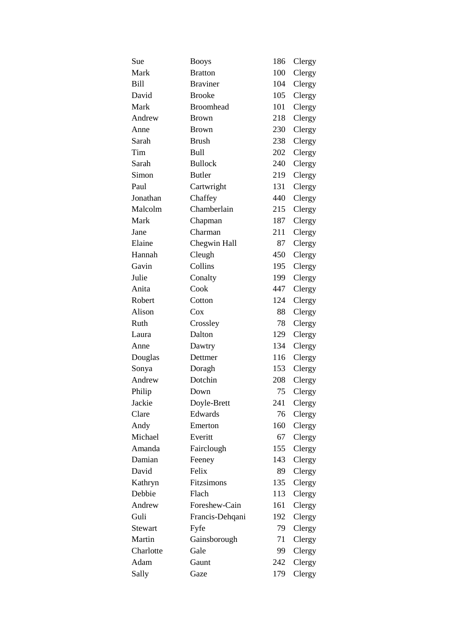| Sue            | <b>Booys</b>     | 186 | Clergy |
|----------------|------------------|-----|--------|
| Mark           | <b>Bratton</b>   | 100 | Clergy |
| Bill           | <b>Braviner</b>  | 104 | Clergy |
| David          | <b>Brooke</b>    | 105 | Clergy |
| Mark           | <b>Broomhead</b> | 101 | Clergy |
| Andrew         | <b>Brown</b>     | 218 | Clergy |
| Anne           | <b>Brown</b>     | 230 | Clergy |
| Sarah          | <b>Brush</b>     | 238 | Clergy |
| Tim            | <b>Bull</b>      | 202 | Clergy |
| Sarah          | <b>Bullock</b>   | 240 | Clergy |
| Simon          | <b>Butler</b>    | 219 | Clergy |
| Paul           | Cartwright       | 131 | Clergy |
| Jonathan       | Chaffey          | 440 | Clergy |
| Malcolm        | Chamberlain      | 215 | Clergy |
| Mark           | Chapman          | 187 | Clergy |
| Jane           | Charman          | 211 | Clergy |
| Elaine         | Chegwin Hall     | 87  | Clergy |
| Hannah         | Cleugh           | 450 | Clergy |
| Gavin          | Collins          | 195 | Clergy |
| Julie          | Conalty          | 199 | Clergy |
| Anita          | Cook             | 447 | Clergy |
| Robert         | Cotton           | 124 | Clergy |
| Alison         | Cox              | 88  | Clergy |
| Ruth           | Crossley         | 78  | Clergy |
| Laura          | Dalton           | 129 | Clergy |
| Anne           | Dawtry           | 134 | Clergy |
| Douglas        | Dettmer          | 116 | Clergy |
| Sonya          | Doragh           | 153 | Clergy |
| Andrew         | Dotchin          | 208 | Clergy |
| Philip         | Down             | 75  | Clergy |
| Jackie         | Doyle-Brett      | 241 | Clergy |
| Clare          | Edwards          | 76  | Clergy |
| Andy           | Emerton          | 160 | Clergy |
| Michael        | Everitt          | 67  | Clergy |
| Amanda         | Fairclough       | 155 | Clergy |
| Damian         | Feeney           | 143 | Clergy |
| David          | Felix            | 89  | Clergy |
| Kathryn        | Fitzsimons       | 135 | Clergy |
| Debbie         | Flach            | 113 | Clergy |
| Andrew         | Foreshew-Cain    | 161 | Clergy |
| Guli           | Francis-Dehqani  | 192 | Clergy |
| <b>Stewart</b> | Fyfe             | 79  | Clergy |
| Martin         | Gainsborough     | 71  | Clergy |
| Charlotte      | Gale             | 99  | Clergy |
| Adam           | Gaunt            | 242 | Clergy |
| Sally          | Gaze             | 179 | Clergy |
|                |                  |     |        |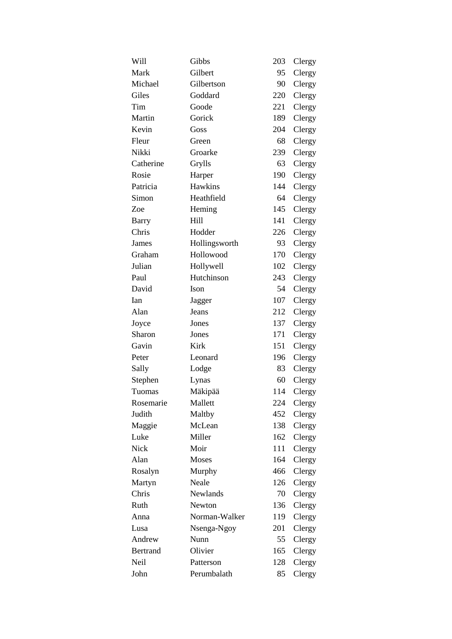| Will            | Gibbs         | 203 | Clergy |
|-----------------|---------------|-----|--------|
| Mark            | Gilbert       | 95  | Clergy |
| Michael         | Gilbertson    | 90  | Clergy |
| Giles           | Goddard       | 220 | Clergy |
| Tim             | Goode         | 221 | Clergy |
| Martin          | Gorick        | 189 | Clergy |
| Kevin           | Goss          | 204 | Clergy |
| Fleur           | Green         | 68  | Clergy |
| Nikki           | Groarke       | 239 | Clergy |
| Catherine       | Grylls        | 63  | Clergy |
| Rosie           | Harper        | 190 | Clergy |
| Patricia        | Hawkins       | 144 | Clergy |
| Simon           | Heathfield    | 64  | Clergy |
| Zoe             | Heming        | 145 | Clergy |
| Barry           | Hill          | 141 | Clergy |
| Chris           | Hodder        | 226 | Clergy |
| James           | Hollingsworth | 93  | Clergy |
| Graham          | Hollowood     | 170 | Clergy |
| Julian          | Hollywell     | 102 | Clergy |
| Paul            | Hutchinson    | 243 | Clergy |
| David           | Ison          | 54  | Clergy |
| Ian             | Jagger        | 107 | Clergy |
| Alan            | Jeans         | 212 | Clergy |
| Joyce           | Jones         | 137 | Clergy |
| Sharon          | Jones         | 171 | Clergy |
| Gavin           | <b>Kirk</b>   | 151 | Clergy |
| Peter           | Leonard       | 196 | Clergy |
| Sally           | Lodge         | 83  | Clergy |
| Stephen         | Lynas         | 60  | Clergy |
| Tuomas          | Mäkipää       | 114 | Clergy |
| Rosemarie       | Mallett       | 224 | Clergy |
| Judith          | Maltby        | 452 | Clergy |
| Maggie          | McLean        | 138 | Clergy |
| Luke            | Miller        | 162 | Clergy |
| Nick            | Moir          | 111 | Clergy |
| Alan            | Moses         | 164 | Clergy |
| Rosalyn         | Murphy        | 466 | Clergy |
| Martyn          | Neale         | 126 | Clergy |
| Chris           | Newlands      | 70  | Clergy |
| Ruth            | Newton        | 136 | Clergy |
| Anna            | Norman-Walker | 119 | Clergy |
| Lusa            | Nsenga-Ngoy   | 201 | Clergy |
| Andrew          | Nunn          | 55  | Clergy |
| <b>Bertrand</b> | Olivier       | 165 | Clergy |
| Neil            | Patterson     | 128 | Clergy |
| John            | Perumbalath   | 85  | Clergy |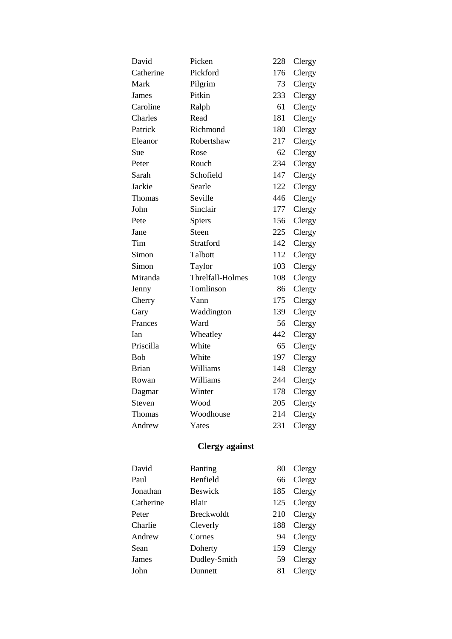| David        | Picken           | 228 | Clergy |
|--------------|------------------|-----|--------|
| Catherine    | Pickford         | 176 | Clergy |
| Mark         | Pilgrim          | 73  | Clergy |
| James        | Pitkin           | 233 | Clergy |
| Caroline     | Ralph            | 61  | Clergy |
| Charles      | Read             | 181 | Clergy |
| Patrick      | Richmond         | 180 | Clergy |
| Eleanor      | Robertshaw       | 217 | Clergy |
| Sue          | Rose             | 62  | Clergy |
| Peter        | Rouch            | 234 | Clergy |
| Sarah        | Schofield        | 147 | Clergy |
| Jackie       | Searle           | 122 | Clergy |
| Thomas       | Seville          | 446 | Clergy |
| John         | Sinclair         | 177 | Clergy |
| Pete         | Spiers           | 156 | Clergy |
| Jane         | Steen            | 225 | Clergy |
| Tim          | Stratford        | 142 | Clergy |
| Simon        | Talbott          | 112 | Clergy |
| Simon        | Taylor           | 103 | Clergy |
| Miranda      | Threlfall-Holmes | 108 | Clergy |
| Jenny        | Tomlinson        | 86  | Clergy |
| Cherry       | Vann             | 175 | Clergy |
| Gary         | Waddington       | 139 | Clergy |
| Frances      | Ward             | 56  | Clergy |
| Ian          | Wheatley         | 442 | Clergy |
| Priscilla    | White            | 65  | Clergy |
| Bob          | White            | 197 | Clergy |
| <b>Brian</b> | Williams         | 148 | Clergy |
| Rowan        | Williams         | 244 | Clergy |
| Dagmar       | Winter           | 178 | Clergy |
| Steven       | Wood             | 205 | Clergy |
| Thomas       | Woodhouse        | 214 | Clergy |
| Andrew       | Yates            | 231 | Clergy |
|              |                  |     |        |

# **Clergy against**

| David     | Banting           | 80  | Clergy |
|-----------|-------------------|-----|--------|
| Paul      | Benfield          | 66  | Clergy |
| Jonathan  | <b>Beswick</b>    | 185 | Clergy |
| Catherine | Blair             | 125 | Clergy |
| Peter     | <b>Breckwoldt</b> | 210 | Clergy |
| Charlie   | Cleverly          | 188 | Clergy |
| Andrew    | Cornes            | 94  | Clergy |
| Sean      | Doherty           | 159 | Clergy |
| James     | Dudley-Smith      | 59  | Clergy |
| John      | Dunnett           | 81  | Clergy |
|           |                   |     |        |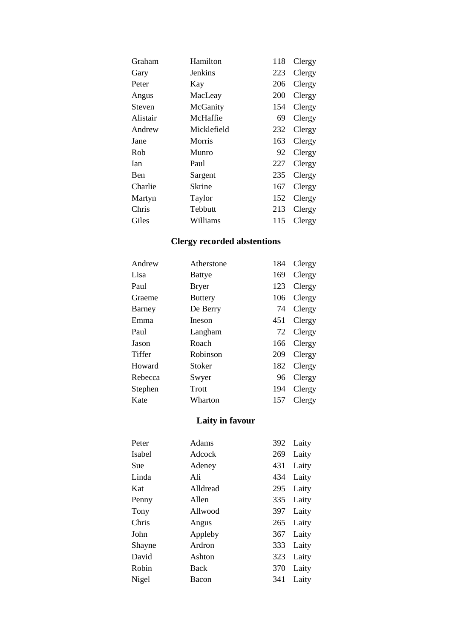| Hamilton    | 118 | Clergy |
|-------------|-----|--------|
| Jenkins     | 223 | Clergy |
| Kay         | 206 | Clergy |
| MacLeay     | 200 | Clergy |
| McGanity    | 154 | Clergy |
| McHaffie    | 69  | Clergy |
| Micklefield | 232 | Clergy |
| Morris      | 163 | Clergy |
| Munro       | 92  | Clergy |
| Paul        | 227 | Clergy |
| Sargent     | 235 | Clergy |
| Skrine      | 167 | Clergy |
| Taylor      | 152 | Clergy |
| Tebbutt     | 213 | Clergy |
| Williams    | 115 | Clergy |
|             |     |        |

## **Clergy recorded abstentions**

| Atherstone     | 184 | Clergy |
|----------------|-----|--------|
| Battye         | 169 | Clergy |
| <b>Bryer</b>   | 123 | Clergy |
| <b>Buttery</b> | 106 | Clergy |
| De Berry       | 74  | Clergy |
| Ineson         | 451 | Clergy |
| Langham        | 72  | Clergy |
| Roach          | 166 | Clergy |
| Robinson       | 209 | Clergy |
| Stoker         | 182 | Clergy |
| Swyer          | 96  | Clergy |
| Trott          | 194 | Clergy |
| Wharton        | 157 | Clergy |
|                |     |        |

### **Laity in favour**

| Peter  | Adams    | 392 | Laity |
|--------|----------|-----|-------|
| Isabel | Adcock   | 269 | Laity |
| Sue    | Adeney   | 431 | Laity |
| Linda  | Ali      | 434 | Laity |
| Kat    | Alldread | 295 | Laity |
| Penny  | Allen    | 335 | Laity |
| Tony   | Allwood  | 397 | Laity |
| Chris  | Angus    | 265 | Laity |
| John   | Appleby  | 367 | Laity |
| Shayne | Ardron   | 333 | Laity |
| David  | Ashton   | 323 | Laity |
| Robin  | Back     | 370 | Laity |
| Nigel  | Bacon    | 341 | Laity |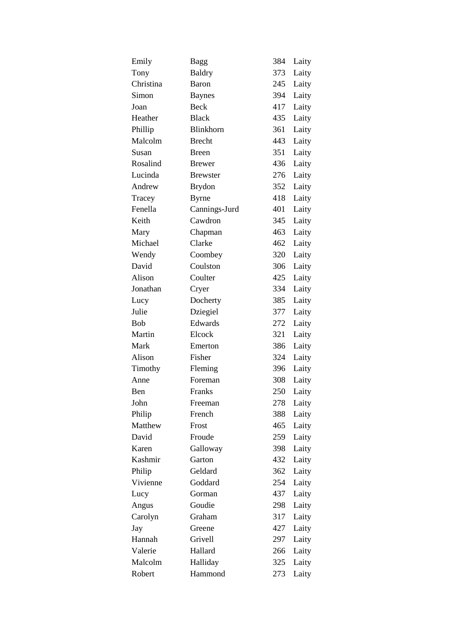| Emily      | <b>Bagg</b>      | 384 | Laity |
|------------|------------------|-----|-------|
| Tony       | <b>Baldry</b>    | 373 | Laity |
| Christina  | Baron            | 245 | Laity |
| Simon      | <b>Baynes</b>    | 394 | Laity |
| Joan       | <b>Beck</b>      | 417 | Laity |
| Heather    | <b>Black</b>     | 435 | Laity |
| Phillip    | <b>Blinkhorn</b> | 361 | Laity |
| Malcolm    | <b>Brecht</b>    | 443 | Laity |
| Susan      | <b>Breen</b>     | 351 | Laity |
| Rosalind   | <b>Brewer</b>    | 436 | Laity |
| Lucinda    | <b>Brewster</b>  | 276 | Laity |
| Andrew     | <b>Brydon</b>    | 352 | Laity |
| Tracey     | <b>Byrne</b>     | 418 | Laity |
| Fenella    | Cannings-Jurd    | 401 | Laity |
| Keith      | Cawdron          | 345 | Laity |
| Mary       | Chapman          | 463 | Laity |
| Michael    | Clarke           | 462 | Laity |
| Wendy      | Coombey          | 320 | Laity |
| David      | Coulston         | 306 | Laity |
| Alison     | Coulter          | 425 | Laity |
| Jonathan   | Cryer            | 334 | Laity |
| Lucy       | Docherty         | 385 | Laity |
| Julie      | Dziegiel         | 377 | Laity |
| <b>Bob</b> | Edwards          | 272 | Laity |
| Martin     | Elcock           | 321 | Laity |
| Mark       | Emerton          | 386 | Laity |
| Alison     | Fisher           | 324 | Laity |
| Timothy    | Fleming          | 396 | Laity |
| Anne       | Foreman          | 308 | Laity |
| Ben        | Franks           | 250 | Laity |
| John       | Freeman          | 278 | Laity |
| Philip     | French           | 388 | Laity |
| Matthew    | Frost            | 465 | Laity |
| David      | Froude           | 259 | Laity |
| Karen      | Galloway         | 398 | Laity |
| Kashmir    | Garton           | 432 | Laity |
| Philip     | Geldard          | 362 | Laity |
| Vivienne   | Goddard          | 254 | Laity |
| Lucy       | Gorman           | 437 | Laity |
| Angus      | Goudie           | 298 | Laity |
| Carolyn    | Graham           | 317 | Laity |
| Jay        | Greene           | 427 | Laity |
| Hannah     | Grivell          | 297 | Laity |
| Valerie    | Hallard          | 266 | Laity |
| Malcolm    | Halliday         | 325 | Laity |
| Robert     | Hammond          | 273 | Laity |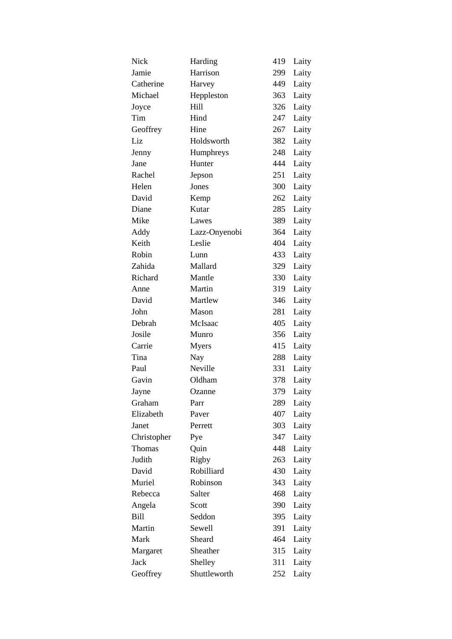| Nick          | Harding       | 419 | Laity |
|---------------|---------------|-----|-------|
| Jamie         | Harrison      | 299 | Laity |
| Catherine     | Harvey        | 449 | Laity |
| Michael       | Heppleston    | 363 | Laity |
| Joyce         | Hill          | 326 | Laity |
| Tim           | Hind          | 247 | Laity |
| Geoffrey      | Hine          | 267 | Laity |
| Liz           | Holdsworth    | 382 | Laity |
| Jenny         | Humphreys     | 248 | Laity |
| Jane          | Hunter        | 444 | Laity |
| Rachel        | Jepson        | 251 | Laity |
| Helen         | Jones         | 300 | Laity |
| David         | Kemp          | 262 | Laity |
| Diane         | Kutar         | 285 | Laity |
| Mike          | Lawes         | 389 | Laity |
| Addy          | Lazz-Onyenobi | 364 | Laity |
| Keith         | Leslie        | 404 | Laity |
| Robin         | Lunn          | 433 | Laity |
| Zahida        | Mallard       | 329 | Laity |
| Richard       | Mantle        | 330 | Laity |
| Anne          | Martin        | 319 | Laity |
| David         | Martlew       | 346 | Laity |
| John          | Mason         | 281 | Laity |
| Debrah        | McIsaac       | 405 | Laity |
| Josile        | Munro         | 356 | Laity |
| Carrie        | <b>Myers</b>  | 415 | Laity |
| Tina          | Nay           | 288 | Laity |
| Paul          | Neville       | 331 | Laity |
| Gavin         | Oldham        | 378 | Laity |
| Jayne         | Ozanne        | 379 | Laity |
| Graham        | Parr          | 289 | Laity |
| Elizabeth     | Paver         | 407 | Laity |
| Janet         | Perrett       | 303 | Laity |
| Christopher   | Pye           | 347 | Laity |
| <b>Thomas</b> | Quin          | 448 | Laity |
| Judith        | Rigby         | 263 | Laity |
| David         | Robilliard    | 430 | Laity |
| Muriel        | Robinson      | 343 | Laity |
| Rebecca       | Salter        | 468 | Laity |
| Angela        | Scott         | 390 | Laity |
| Bill          | Seddon        | 395 | Laity |
| Martin        | Sewell        | 391 | Laity |
| Mark          | Sheard        | 464 | Laity |
| Margaret      | Sheather      | 315 | Laity |
| Jack          | Shelley       | 311 | Laity |
| Geoffrey      | Shuttleworth  | 252 | Laity |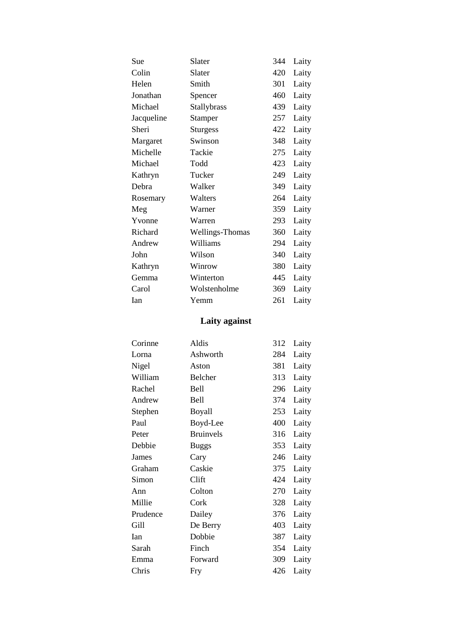| Sue        | Slater          | 344 | Laity |
|------------|-----------------|-----|-------|
| Colin      | Slater          | 420 | Laity |
| Helen      | Smith           | 301 | Laity |
| Jonathan   | Spencer         | 460 | Laity |
| Michael    | Stallybrass     | 439 | Laity |
| Jacqueline | <b>Stamper</b>  | 257 | Laity |
| Sheri      | <b>Sturgess</b> | 422 | Laity |
| Margaret   | Swinson         | 348 | Laity |
| Michelle   | Tackie          | 275 | Laity |
| Michael    | Todd            | 423 | Laity |
| Kathryn    | Tucker          | 249 | Laity |
| Debra      | Walker          | 349 | Laity |
| Rosemary   | Walters         | 264 | Laity |
| Meg        | Warner          | 359 | Laity |
| Yvonne     | Warren          | 293 | Laity |
| Richard    | Wellings-Thomas | 360 | Laity |
| Andrew     | Williams        | 294 | Laity |
| John       | Wilson          | 340 | Laity |
| Kathryn    | Winrow          | 380 | Laity |
| Gemma      | Winterton       | 445 | Laity |
| Carol      | Wolstenholme    | 369 | Laity |
| Ian        | Yemm            | 261 | Laity |

## **Laity against**

| Corinne  | Aldis            | 312 | Laity |
|----------|------------------|-----|-------|
| Lorna    | Ashworth         | 284 | Laity |
| Nigel    | Aston            | 381 | Laity |
| William  | Belcher          | 313 | Laity |
| Rachel   | Bell             | 296 | Laity |
| Andrew   | Bell             | 374 | Laity |
| Stephen  | Boyall           | 253 | Laity |
| Paul     | Boyd-Lee         | 400 | Laity |
| Peter    | <b>Bruinvels</b> | 316 | Laity |
| Debbie   | <b>Buggs</b>     | 353 | Laity |
| James    | Cary             | 246 | Laity |
| Graham   | Caskie           | 375 | Laity |
| Simon    | Clift            | 424 | Laity |
| Ann      | Colton           | 270 | Laity |
| Millie   | Cork             | 328 | Laity |
| Prudence | Dailey           | 376 | Laity |
| Gill     | De Berry         | 403 | Laity |
| Ian      | Dobbie           | 387 | Laity |
| Sarah    | Finch            | 354 | Laity |
| Emma     | Forward          | 309 | Laity |
| Chris    | Fry              | 426 | Laity |